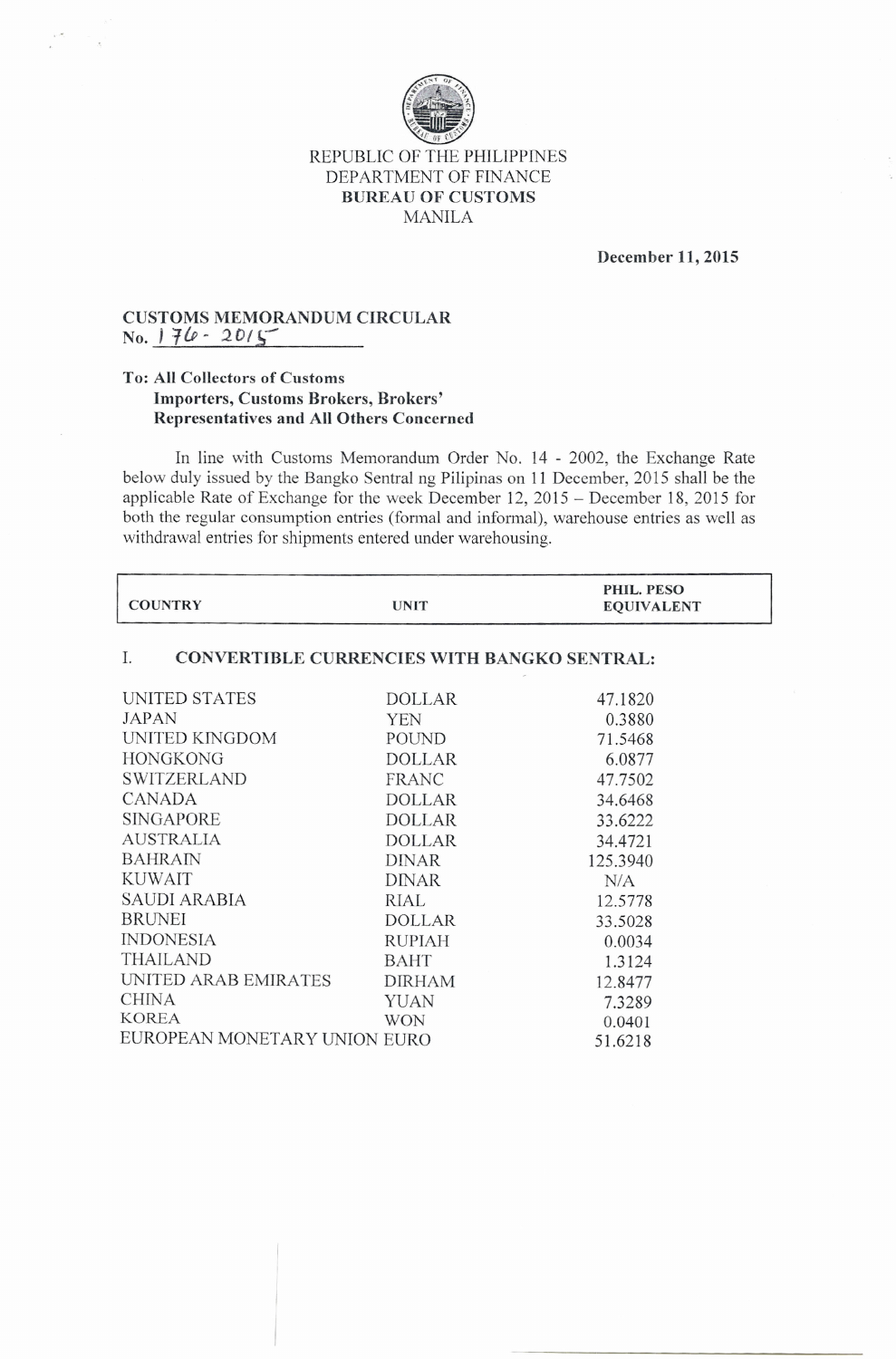

## REPUBLIC OF THE PHILIPPINES DEPARTMENT OF FINANCE **BUREAU OF CUSTOMS** MANILA

**December 11, 2015**

## **CUSTOMS MEMORANDUM CIRCULAR**  $N_0$ .  $176 - 2015$

## **To: All Collectors of Customs Importers, Customs Brokers, Brokers' Representatives and All Others Concerned**

In line with Customs Memorandum Order No. 14 - 2002, the Exchange Rate below duly issued by the Bangko Sentral ng Pi1ipinas on 11 December, 2015 shall be the applicable Rate of Exchange for the week December 12,2015 - December 18,2015 for both the regular consumption entries (formal and informal), warehouse entries as well as withdrawal entries for shipments entered under warehousing.

| <b>UNIT</b>                                              | PHIL. PESO<br><b>EQUIVALENT</b> |  |  |
|----------------------------------------------------------|---------------------------------|--|--|
| I.<br><b>CONVERTIBLE CURRENCIES WITH BANGKO SENTRAL:</b> |                                 |  |  |
| <b>DOLLAR</b>                                            | 47.1820                         |  |  |
| <b>YEN</b>                                               | 0.3880                          |  |  |
| POUND                                                    | 71.5468                         |  |  |
| <b>DOLLAR</b>                                            | 6.0877                          |  |  |
| FRANC                                                    | 47.7502                         |  |  |
| <b>DOLLAR</b>                                            | 34.6468                         |  |  |
| <b>DOLLAR</b>                                            | 33.6222                         |  |  |
| DOLLAR                                                   | 34.4721                         |  |  |
| <b>DINAR</b>                                             | 125.3940                        |  |  |
| <b>DINAR</b>                                             | N/A                             |  |  |
| RIAL                                                     | 12.5778                         |  |  |
| <b>DOLLAR</b>                                            | 33.5028                         |  |  |
| <b>RUPIAH</b>                                            | 0.0034                          |  |  |
| <b>BAHT</b>                                              | 1.3124                          |  |  |
| <b>DIRHAM</b>                                            | 12.8477                         |  |  |
| <b>YUAN</b>                                              | 7.3289                          |  |  |
| <b>WON</b>                                               | 0.0401                          |  |  |
| EUROPEAN MONETARY UNION EURO                             | 51.6218                         |  |  |
|                                                          |                                 |  |  |